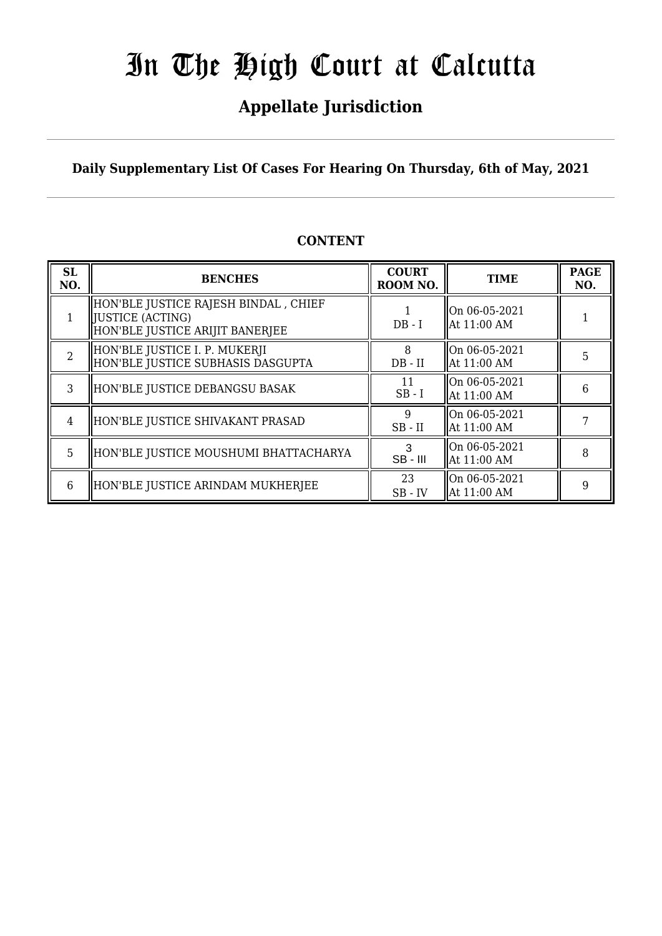## **Appellate Jurisdiction**

**Daily Supplementary List Of Cases For Hearing On Thursday, 6th of May, 2021**

| SL<br>NO.      | <b>BENCHES</b>                                                                                 | <b>COURT</b><br>ROOM NO. | <b>TIME</b>                                            | <b>PAGE</b><br>NO. |
|----------------|------------------------------------------------------------------------------------------------|--------------------------|--------------------------------------------------------|--------------------|
|                | HON'BLE JUSTICE RAJESH BINDAL , CHIEF<br>  JUSTICE (ACTING)<br>HON'BLE JUSTICE ARIJIT BANERJEE | $DB - I$                 | On 06-05-2021<br>  At 11:00 AM                         |                    |
| $\overline{2}$ | HON'BLE JUSTICE I. P. MUKERJI<br>HON'BLE JUSTICE SUBHASIS DASGUPTA                             | 8<br>$DB - II$           | On 06-05-2021<br>  At 11:00 AM                         | 5                  |
| 3              | HON'BLE JUSTICE DEBANGSU BASAK                                                                 | 11<br>$SB - I$           | On 06-05-2021<br>  At 11:00 AM                         | 6                  |
| 4              | HON'BLE JUSTICE SHIVAKANT PRASAD                                                               | 9<br>$SB$ - $II$         | On 06-05-2021<br>  At 11:00 AM                         |                    |
| 5              | HON'BLE JUSTICE MOUSHUMI BHATTACHARYA                                                          | $SB - III$               | $\lfloor 0n \ 06 - 05 - 2021 \rfloor$<br>  At 11:00 AM | 8                  |
| 6              | HON'BLE JUSTICE ARINDAM MUKHERJEE                                                              | 23<br>$SB$ - $IV$        | On 06-05-2021<br>  At 11:00 AM                         |                    |

## **CONTENT**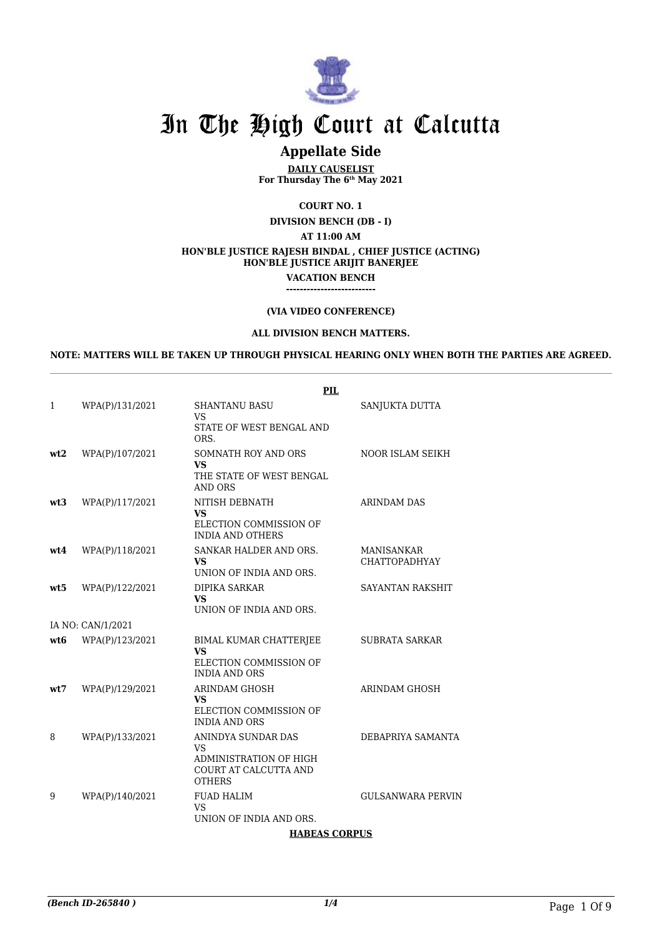

## **Appellate Side**

**DAILY CAUSELIST For Thursday The 6th May 2021**

**COURT NO. 1**

**DIVISION BENCH (DB - I)**

**AT 11:00 AM**

#### **HON'BLE JUSTICE RAJESH BINDAL , CHIEF JUSTICE (ACTING)**

**HON'BLE JUSTICE ARIJIT BANERJEE**

**VACATION BENCH**

#### **--------------------------**

### **(VIA VIDEO CONFERENCE)**

#### **ALL DIVISION BENCH MATTERS.**

**NOTE: MATTERS WILL BE TAKEN UP THROUGH PHYSICAL HEARING ONLY WHEN BOTH THE PARTIES ARE AGREED.**

|     |                   | <b>PIL</b>                                                                                    |                                           |
|-----|-------------------|-----------------------------------------------------------------------------------------------|-------------------------------------------|
| 1   | WPA(P)/131/2021   | <b>SHANTANU BASU</b><br><b>VS</b><br>STATE OF WEST BENGAL AND                                 | SANJUKTA DUTTA                            |
|     |                   | ORS.                                                                                          |                                           |
| wt2 | WPA(P)/107/2021   | SOMNATH ROY AND ORS<br><b>VS</b><br>THE STATE OF WEST BENGAL<br><b>AND ORS</b>                | <b>NOOR ISLAM SEIKH</b>                   |
| wt3 | WPA(P)/117/2021   | NITISH DEBNATH<br><b>VS</b><br>ELECTION COMMISSION OF<br><b>INDIA AND OTHERS</b>              | ARINDAM DAS                               |
| wt4 | WPA(P)/118/2021   | SANKAR HALDER AND ORS.<br><b>VS</b><br>UNION OF INDIA AND ORS.                                | <b>MANISANKAR</b><br><b>CHATTOPADHYAY</b> |
| wt5 | WPA(P)/122/2021   | DIPIKA SARKAR<br><b>VS</b><br>UNION OF INDIA AND ORS.                                         | SAYANTAN RAKSHIT                          |
|     | IA NO: CAN/1/2021 |                                                                                               |                                           |
| wt6 | WPA(P)/123/2021   | <b>BIMAL KUMAR CHATTERJEE</b><br><b>VS</b><br>ELECTION COMMISSION OF<br><b>INDIA AND ORS</b>  | <b>SUBRATA SARKAR</b>                     |
| wt7 | WPA(P)/129/2021   | <b>ARINDAM GHOSH</b><br><b>VS</b><br>ELECTION COMMISSION OF<br><b>INDIA AND ORS</b>           | <b>ARINDAM GHOSH</b>                      |
| 8   | WPA(P)/133/2021   | ANINDYA SUNDAR DAS<br>VS.<br>ADMINISTRATION OF HIGH<br>COURT AT CALCUTTA AND<br><b>OTHERS</b> | DEBAPRIYA SAMANTA                         |
| 9   | WPA(P)/140/2021   | <b>FUAD HALIM</b><br>VS.<br>UNION OF INDIA AND ORS.                                           | <b>GULSANWARA PERVIN</b>                  |

## **HABEAS CORPUS**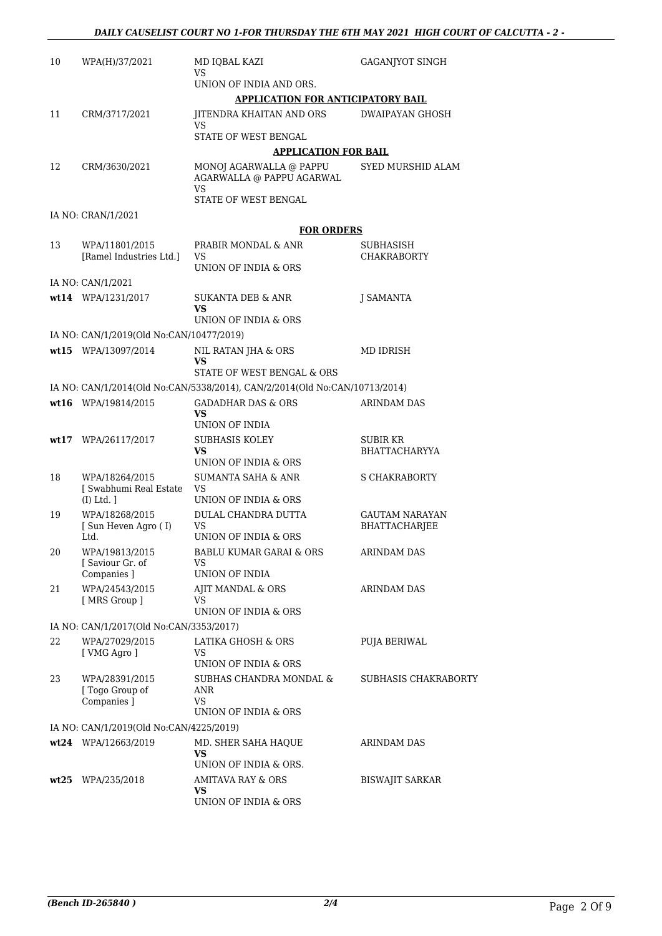| 10 | WPA(H)/37/2021                            | MD IOBAL KAZI<br>VS                                                        | GAGANJYOT SINGH                  |
|----|-------------------------------------------|----------------------------------------------------------------------------|----------------------------------|
|    |                                           | UNION OF INDIA AND ORS.                                                    |                                  |
|    |                                           | <b>APPLICATION FOR ANTICIPATORY BAIL</b>                                   |                                  |
| 11 | CRM/3717/2021                             | JITENDRA KHAITAN AND ORS<br>VS                                             | DWAIPAYAN GHOSH                  |
|    |                                           | STATE OF WEST BENGAL                                                       |                                  |
|    |                                           | <b>APPLICATION FOR BAIL</b>                                                |                                  |
| 12 | CRM/3630/2021                             | MONOJ AGARWALLA @ PAPPU<br>AGARWALLA @ PAPPU AGARWAL<br><b>VS</b>          | SYED MURSHID ALAM                |
|    |                                           | STATE OF WEST BENGAL                                                       |                                  |
|    | IA NO: CRAN/1/2021                        |                                                                            |                                  |
|    |                                           | <b>FOR ORDERS</b>                                                          |                                  |
| 13 | WPA/11801/2015<br>[Ramel Industries Ltd.] | PRABIR MONDAL & ANR<br>VS                                                  | SUBHASISH<br><b>CHAKRABORTY</b>  |
|    |                                           | UNION OF INDIA & ORS                                                       |                                  |
|    | IA NO: CAN/1/2021                         |                                                                            |                                  |
|    | wt14 WPA/1231/2017                        | SUKANTA DEB & ANR                                                          | <b>J SAMANTA</b>                 |
|    |                                           | <b>VS</b>                                                                  |                                  |
|    |                                           | UNION OF INDIA & ORS                                                       |                                  |
|    | IA NO: CAN/1/2019(Old No:CAN/10477/2019)  |                                                                            |                                  |
|    | wt15 WPA/13097/2014                       | NIL RATAN JHA & ORS<br>VS.                                                 | MD IDRISH                        |
|    |                                           | STATE OF WEST BENGAL & ORS                                                 |                                  |
|    |                                           | IA NO: CAN/1/2014(Old No:CAN/5338/2014), CAN/2/2014(Old No:CAN/10713/2014) |                                  |
|    | wt16 WPA/19814/2015                       | <b>GADADHAR DAS &amp; ORS</b><br>VS.                                       | <b>ARINDAM DAS</b>               |
|    |                                           | UNION OF INDIA                                                             |                                  |
|    | wt17 WPA/26117/2017                       | <b>SUBHASIS KOLEY</b><br>VS.                                               | SUBIR KR<br><b>BHATTACHARYYA</b> |
|    |                                           | UNION OF INDIA & ORS                                                       |                                  |
| 18 | WPA/18264/2015<br>[ Swabhumi Real Estate  | <b>SUMANTA SAHA &amp; ANR</b>                                              | S CHAKRABORTY                    |
|    | $(I)$ Ltd. $]$                            | VS<br>UNION OF INDIA & ORS                                                 |                                  |
| 19 | WPA/18268/2015                            | DULAL CHANDRA DUTTA                                                        | GAUTAM NARAYAN                   |
|    | [Sun Heven Agro (I)<br>Ltd.               | VS<br>UNION OF INDIA & ORS                                                 | BHATTACHARJEE                    |
| 20 | WPA/19813/2015                            | BABLU KUMAR GARAI & ORS                                                    | <b>ARINDAM DAS</b>               |
|    | Saviour Gr. of                            | VS                                                                         |                                  |
|    | Companies ]                               | UNION OF INDIA                                                             |                                  |
| 21 | WPA/24543/2015<br>[ MRS Group ]           | AJIT MANDAL & ORS<br>VS                                                    | <b>ARINDAM DAS</b>               |
|    |                                           | UNION OF INDIA & ORS                                                       |                                  |
|    | IA NO: CAN/1/2017(Old No:CAN/3353/2017)   |                                                                            |                                  |
| 22 | WPA/27029/2015                            | LATIKA GHOSH & ORS                                                         | PUJA BERIWAL                     |
|    | [ VMG Agro ]                              | VS<br>UNION OF INDIA & ORS                                                 |                                  |
| 23 | WPA/28391/2015                            | SUBHAS CHANDRA MONDAL &                                                    | SUBHASIS CHAKRABORTY             |
|    | [ Togo Group of                           | ANR<br><b>VS</b>                                                           |                                  |
|    | Companies ]                               | UNION OF INDIA & ORS                                                       |                                  |
|    | IA NO: CAN/1/2019(Old No:CAN/4225/2019)   |                                                                            |                                  |
|    | wt24 WPA/12663/2019                       | MD. SHER SAHA HAQUE                                                        | ARINDAM DAS                      |
|    |                                           | VS                                                                         |                                  |
|    |                                           | UNION OF INDIA & ORS.                                                      |                                  |
|    | wt25 WPA/235/2018                         | <b>AMITAVA RAY &amp; ORS</b><br><b>VS</b>                                  | <b>BISWAJIT SARKAR</b>           |
|    |                                           | UNION OF INDIA & ORS                                                       |                                  |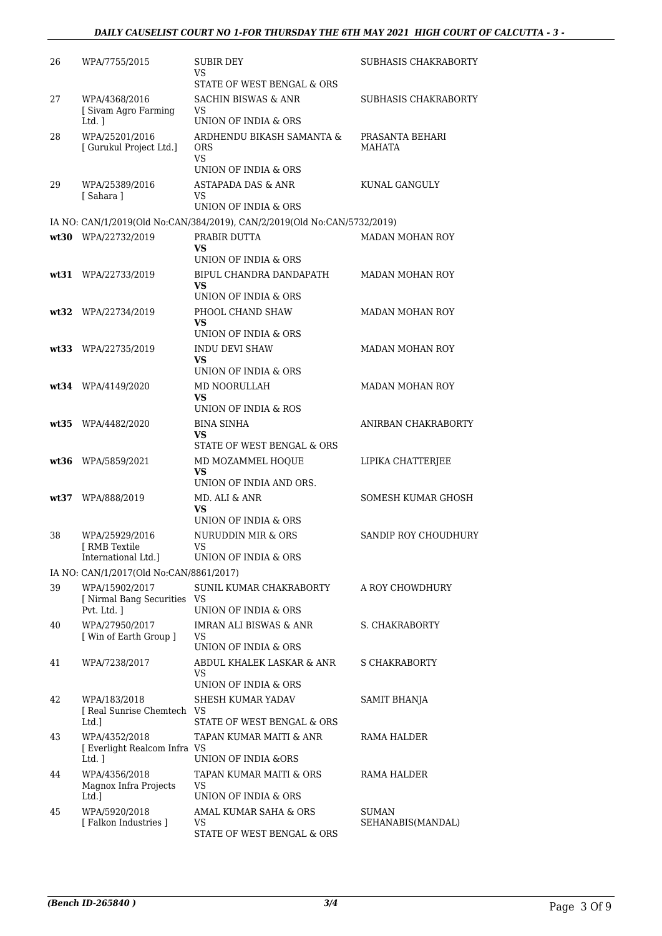| 26   | WPA/7755/2015                                                 | SUBIR DEY<br>VS<br>STATE OF WEST BENGAL & ORS                                       | SUBHASIS CHAKRABORTY             |
|------|---------------------------------------------------------------|-------------------------------------------------------------------------------------|----------------------------------|
| 27   | WPA/4368/2016<br>[ Sivam Agro Farming                         | <b>SACHIN BISWAS &amp; ANR</b><br>VS                                                | SUBHASIS CHAKRABORTY             |
| 28   | Ltd. 1<br>WPA/25201/2016<br>[ Gurukul Project Ltd.]           | UNION OF INDIA & ORS<br>ARDHENDU BIKASH SAMANTA &<br>ORS<br><b>VS</b>               | PRASANTA BEHARI<br><b>MAHATA</b> |
| 29   | WPA/25389/2016<br>[Sahara]                                    | UNION OF INDIA & ORS<br><b>ASTAPADA DAS &amp; ANR</b><br>VS<br>UNION OF INDIA & ORS | KUNAL GANGULY                    |
|      |                                                               | IA NO: CAN/1/2019(Old No:CAN/384/2019), CAN/2/2019(Old No:CAN/5732/2019)            |                                  |
|      | wt30 WPA/22732/2019                                           | PRABIR DUTTA                                                                        | MADAN MOHAN ROY                  |
|      |                                                               | VS                                                                                  |                                  |
|      | wt31 WPA/22733/2019                                           | UNION OF INDIA & ORS<br>BIPUL CHANDRA DANDAPATH<br>VS                               | MADAN MOHAN ROY                  |
|      |                                                               | UNION OF INDIA & ORS                                                                |                                  |
|      | wt32 WPA/22734/2019                                           | PHOOL CHAND SHAW<br>VS<br>UNION OF INDIA & ORS                                      | <b>MADAN MOHAN ROY</b>           |
|      | wt33 WPA/22735/2019                                           | <b>INDU DEVI SHAW</b><br>VS<br>UNION OF INDIA & ORS                                 | <b>MADAN MOHAN ROY</b>           |
|      | wt34 WPA/4149/2020                                            | MD NOORULLAH<br>VS                                                                  | MADAN MOHAN ROY                  |
|      | wt35 WPA/4482/2020                                            | UNION OF INDIA & ROS<br><b>BINA SINHA</b><br>VS                                     | ANIRBAN CHAKRABORTY              |
|      | wt36 WPA/5859/2021                                            | STATE OF WEST BENGAL & ORS<br>MD MOZAMMEL HOQUE<br>VS<br>UNION OF INDIA AND ORS.    | LIPIKA CHATTERJEE                |
| wt37 | WPA/888/2019                                                  | MD. ALI & ANR<br>VS<br>UNION OF INDIA & ORS                                         | SOMESH KUMAR GHOSH               |
| 38   | WPA/25929/2016<br><b>I RMB Textile</b><br>International Ltd.] | NURUDDIN MIR & ORS<br>VS<br>UNION OF INDIA & ORS                                    | SANDIP ROY CHOUDHURY             |
|      | IA NO: CAN/1/2017(Old No:CAN/8861/2017)                       |                                                                                     |                                  |
| 39   | WPA/15902/2017<br>[ Nirmal Bang Securities VS<br>Pvt. Ltd. 1  | SUNIL KUMAR CHAKRABORTY<br>UNION OF INDIA & ORS                                     | A ROY CHOWDHURY                  |
| 40   | WPA/27950/2017<br>[ Win of Earth Group ]                      | <b>IMRAN ALI BISWAS &amp; ANR</b><br>VS<br>UNION OF INDIA & ORS                     | S. CHAKRABORTY                   |
| 41   | WPA/7238/2017                                                 | ABDUL KHALEK LASKAR & ANR<br>VS                                                     | S CHAKRABORTY                    |
| 42   | WPA/183/2018<br>[ Real Sunrise Chemtech VS<br>Ltd.]           | UNION OF INDIA & ORS<br>SHESH KUMAR YADAV<br>STATE OF WEST BENGAL & ORS             | SAMIT BHANJA                     |
| 43   | WPA/4352/2018<br>[ Everlight Realcom Infra VS<br>$Ltd.$ ]     | TAPAN KUMAR MAITI & ANR<br>UNION OF INDIA &ORS                                      | RAMA HALDER                      |
| 44   | WPA/4356/2018<br>Magnox Infra Projects<br>Ltd.]               | TAPAN KUMAR MAITI & ORS<br>VS<br>UNION OF INDIA & ORS                               | RAMA HALDER                      |
| 45   | WPA/5920/2018<br>[Falkon Industries]                          | AMAL KUMAR SAHA & ORS<br>VS<br>STATE OF WEST BENGAL & ORS                           | SUMAN<br>SEHANABIS(MANDAL)       |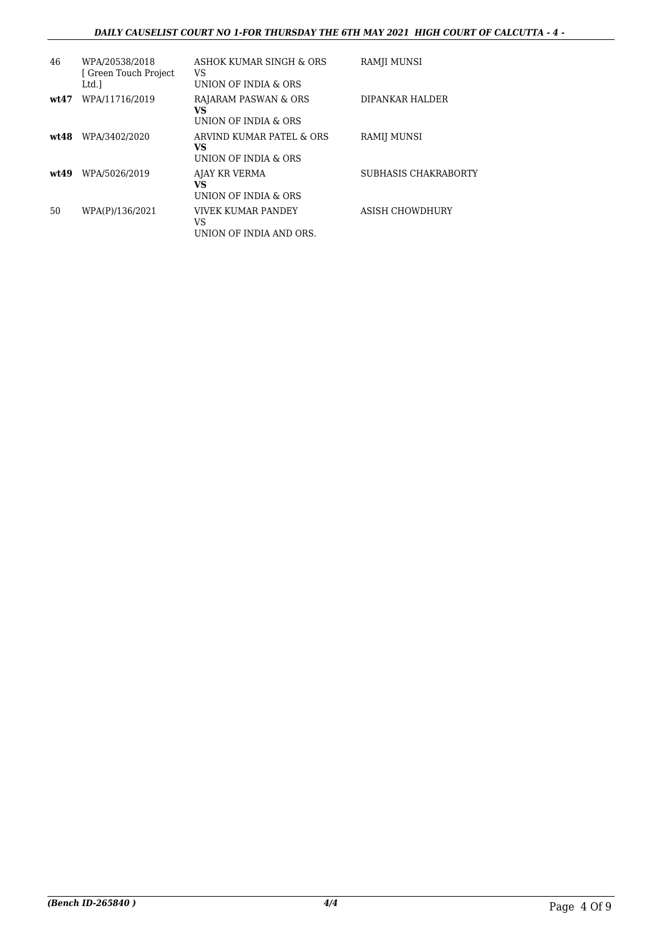### *DAILY CAUSELIST COURT NO 1-FOR THURSDAY THE 6TH MAY 2021 HIGH COURT OF CALCUTTA - 4 -*

| 46    | WPA/20538/2018<br>[ Green Touch Project<br>Ltd.] | ASHOK KUMAR SINGH & ORS<br>VS<br>UNION OF INDIA & ORS  | RAMJI MUNSI          |
|-------|--------------------------------------------------|--------------------------------------------------------|----------------------|
| wt47  | WPA/11716/2019                                   | RAJARAM PASWAN & ORS<br>VS<br>UNION OF INDIA & ORS     | DIPANKAR HALDER      |
| wt48  | WPA/3402/2020                                    | ARVIND KUMAR PATEL & ORS<br>VS<br>UNION OF INDIA & ORS | RAMIJ MUNSI          |
| wt.49 | WPA/5026/2019                                    | AJAY KR VERMA<br>VS<br>UNION OF INDIA & ORS            | SUBHASIS CHAKRABORTY |
| 50    | WPA(P)/136/2021                                  | VIVEK KUMAR PANDEY<br>VS<br>UNION OF INDIA AND ORS.    | ASISH CHOWDHURY      |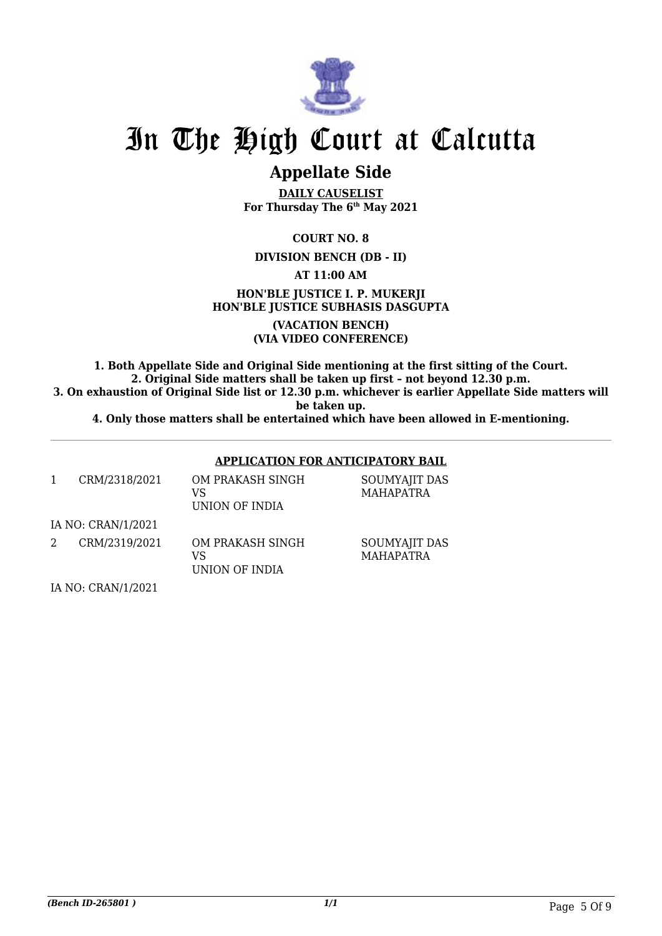

## **Appellate Side**

**DAILY CAUSELIST For Thursday The 6th May 2021**

**COURT NO. 8**

## **DIVISION BENCH (DB - II)**

**AT 11:00 AM**

**HON'BLE JUSTICE I. P. MUKERJI HON'BLE JUSTICE SUBHASIS DASGUPTA**

> **(VACATION BENCH) (VIA VIDEO CONFERENCE)**

**1. Both Appellate Side and Original Side mentioning at the first sitting of the Court. 2. Original Side matters shall be taken up first – not beyond 12.30 p.m. 3. On exhaustion of Original Side list or 12.30 p.m. whichever is earlier Appellate Side matters will**

**be taken up.**

**4. Only those matters shall be entertained which have been allowed in E-mentioning.**

|                    |                    | <b>APPLICATION FOR ANTICIPATORY BAIL</b> |                                   |  |
|--------------------|--------------------|------------------------------------------|-----------------------------------|--|
| 1                  | CRM/2318/2021      | OM PRAKASH SINGH<br>VS<br>UNION OF INDIA | SOUMYAJIT DAS<br><b>MAHAPATRA</b> |  |
|                    | IA NO: CRAN/1/2021 |                                          |                                   |  |
| 2                  | CRM/2319/2021      | OM PRAKASH SINGH<br>VS<br>UNION OF INDIA | SOUMYAJIT DAS<br><b>MAHAPATRA</b> |  |
| IA NO: CRAN/1/2021 |                    |                                          |                                   |  |

*(Bench ID-265801 ) 1/1* Page 5 Of 9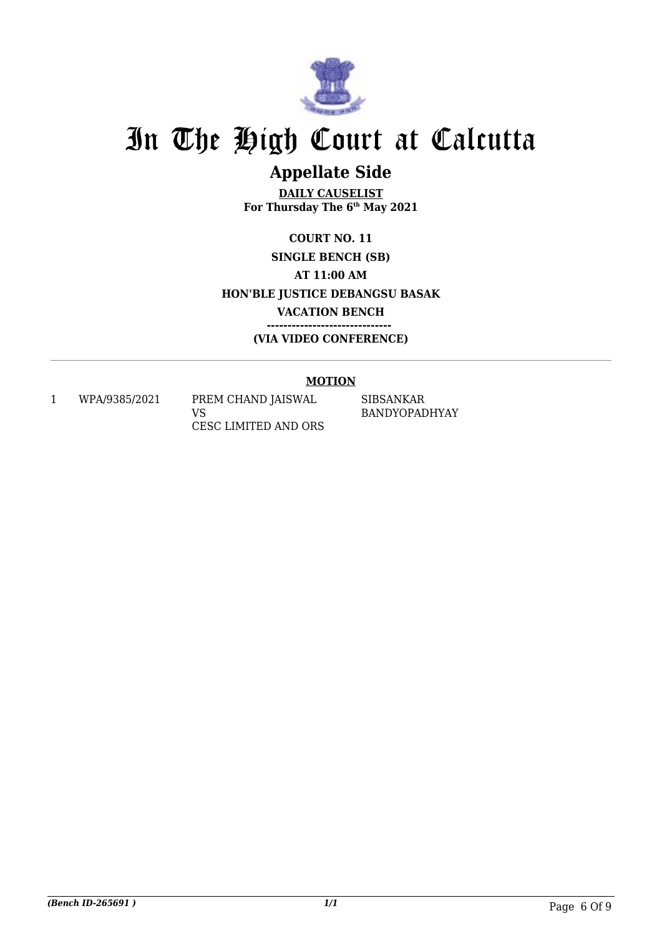

## **Appellate Side**

**DAILY CAUSELIST For Thursday The 6th May 2021**

**COURT NO. 11 SINGLE BENCH (SB) AT 11:00 AM HON'BLE JUSTICE DEBANGSU BASAK VACATION BENCH ------------------------------ (VIA VIDEO CONFERENCE)**

## **MOTION**

1 WPA/9385/2021 PREM CHAND JAISWAL

VS CESC LIMITED AND ORS SIBSANKAR BANDYOPADHYAY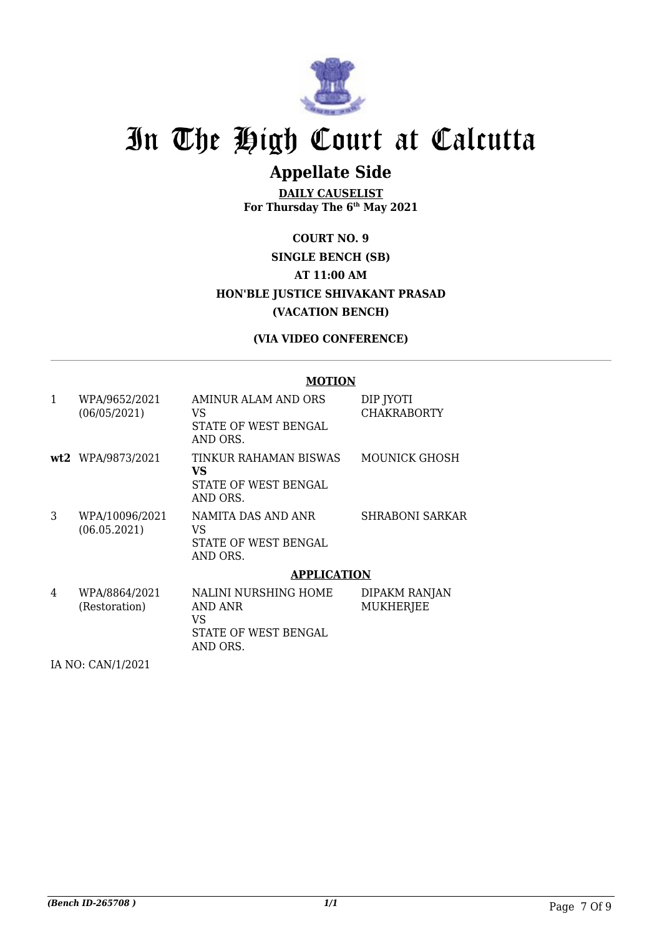

## **Appellate Side**

**DAILY CAUSELIST For Thursday The 6th May 2021**

## **COURT NO. 9 SINGLE BENCH (SB) AT 11:00 AM HON'BLE JUSTICE SHIVAKANT PRASAD (VACATION BENCH)**

## **(VIA VIDEO CONFERENCE)**

### **MOTION**

| $\mathbf{1}$ | WPA/9652/2021<br>(06/05/2021)  | AMINUR ALAM AND ORS<br>VS<br>STATE OF WEST BENGAL<br>AND ORS.             | DIP JYOTI<br><b>CHAKRABORTY</b>   |
|--------------|--------------------------------|---------------------------------------------------------------------------|-----------------------------------|
|              | wt2 WPA/9873/2021              | TINKUR RAHAMAN BISWAS<br>VS<br>STATE OF WEST BENGAL<br>AND ORS.           | MOUNICK GHOSH                     |
| 3            | WPA/10096/2021<br>(06.05.2021) | NAMITA DAS AND ANR<br>VS<br>STATE OF WEST BENGAL<br>AND ORS.              | SHRABONI SARKAR                   |
|              |                                | <b>APPLICATION</b>                                                        |                                   |
| 4            | WPA/8864/2021<br>(Restoration) | NALINI NURSHING HOME<br>AND ANR<br>VS<br>STATE OF WEST BENGAL<br>AND ORS. | DIPAKM RANJAN<br><b>MUKHERJEE</b> |

IA NO: CAN/1/2021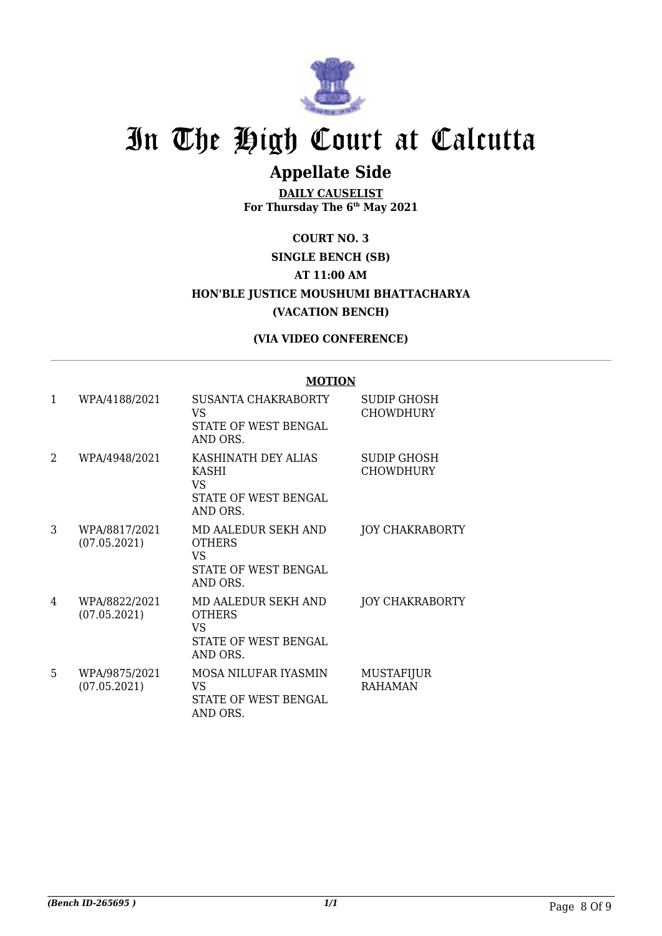

## **Appellate Side**

**DAILY CAUSELIST For Thursday The 6th May 2021**

## **COURT NO. 3 SINGLE BENCH (SB) AT 11:00 AM HON'BLE JUSTICE MOUSHUMI BHATTACHARYA (VACATION BENCH)**

## **(VIA VIDEO CONFERENCE)**

### **MOTION**

| 1 | WPA/4188/2021                 | <b>SUSANTA CHAKRABORTY</b><br>VS<br>STATE OF WEST BENGAL<br>AND ORS.           | SUDIP GHOSH<br><b>CHOWDHURY</b> |
|---|-------------------------------|--------------------------------------------------------------------------------|---------------------------------|
| 2 | WPA/4948/2021                 | KASHINATH DEY ALIAS<br><b>KASHI</b><br>VS.<br>STATE OF WEST BENGAL<br>AND ORS. | SUDIP GHOSH<br><b>CHOWDHURY</b> |
| 3 | WPA/8817/2021<br>(07.05.2021) | MD AALEDUR SEKH AND<br><b>OTHERS</b><br>VS<br>STATE OF WEST BENGAL<br>AND ORS. | <b>JOY CHAKRABORTY</b>          |
| 4 | WPA/8822/2021<br>(07.05.2021) | MD AALEDUR SEKH AND<br><b>OTHERS</b><br>VS<br>STATE OF WEST BENGAL<br>AND ORS. | <b>JOY CHAKRABORTY</b>          |
| 5 | WPA/9875/2021<br>(07.05.2021) | MOSA NILUFAR IYASMIN<br>VS<br>STATE OF WEST BENGAL<br>AND ORS.                 | MUSTAFIJUR<br><b>RAHAMAN</b>    |